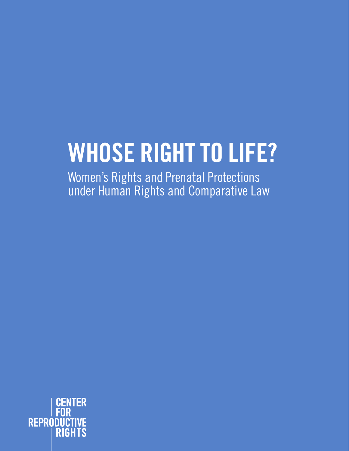# **WHOSE RIGHT TO LIFE?**

Women's Rights and Prenatal Protections under Human Rights and Comparative Law

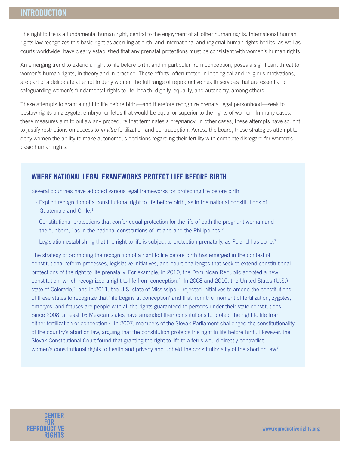The right to life is a fundamental human right, central to the enjoyment of all other human rights. International human rights law recognizes this basic right as accruing at birth, and international and regional human rights bodies, as well as courts worldwide, have clearly established that any prenatal protections must be consistent with women's human rights.

An emerging trend to extend a right to life before birth, and in particular from conception, poses a significant threat to women's human rights, in theory and in practice. These efforts, often rooted in ideological and religious motivations, are part of a deliberate attempt to deny women the full range of reproductive health services that are essential to safeguarding women's fundamental rights to life, health, dignity, equality, and autonomy, among others.

These attempts to grant a right to life before birth—and therefore recognize prenatal legal personhood—seek to bestow rights on a zygote, embryo, or fetus that would be equal or superior to the rights of women. In many cases, these measures aim to outlaw any procedure that terminates a pregnancy. In other cases, these attempts have sought to justify restrictions on access to *in vitro* fertilization and contraception. Across the board, these strategies attempt to deny women the ability to make autonomous decisions regarding their fertility with complete disregard for women's basic human rights.

## **WHERE NATIONAL LEGAL FRAMEWORKS PROTECT LIFE BEFORE BIRTH**

Several countries have adopted various legal frameworks for protecting life before birth:

- Explicit recognition of a constitutional right to life before birth, as in the national constitutions of Guatemala and Chile.<sup>1</sup>
- Constitutional protections that confer equal protection for the life of both the pregnant woman and the "unborn," as in the national constitutions of Ireland and the Philippines. $2$
- Legislation establishing that the right to life is subject to protection prenatally, as Poland has done.<sup>3</sup>

The strategy of promoting the recognition of a right to life before birth has emerged in the context of constitutional reform processes, legislative initiatives, and court challenges that seek to extend constitutional protections of the right to life prenatally. For example, in 2010, the Dominican Republic adopted a new constitution, which recognized a right to life from conception.4 In 2008 and 2010, the United States (U.S.) state of Colorado,<sup>5</sup> and in 2011, the U.S. state of Mississippi<sup>6</sup> rejected initiatives to amend the constitutions of these states to recognize that 'life begins at conception' and that from the moment of fertilization, zygotes, embryos, and fetuses are people with all the rights guaranteed to persons under their state constitutions. Since 2008, at least 16 Mexican states have amended their constitutions to protect the right to life from either fertilization or conception.<sup>7</sup> In 2007, members of the Slovak Parliament challenged the constitutionality of the country's abortion law, arguing that the constitution protects the right to life before birth. However, the Slovak Constitutional Court found that granting the right to life to a fetus would directly contradict women's constitutional rights to health and privacy and upheld the constitutionality of the abortion law.<sup>8</sup>

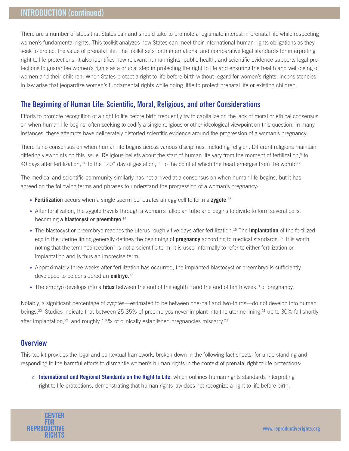# **INTRODUCTION (continued)**

There are a number of steps that States can and should take to promote a legitimate interest in prenatal life while respecting women's fundamental rights. This toolkit analyzes how States can meet their international human rights obligations as they seek to protect the value of prenatal life. The toolkit sets forth international and comparative legal standards for interpreting right to life protections. It also identifies how relevant human rights, public health, and scientific evidence supports legal protections to guarantee women's rights as a crucial step in protecting the right to life and ensuring the health and well-being of women and their children. When States protect a right to life before birth without regard for women's rights, inconsistencies in law arise that jeopardize women's fundamental rights while doing little to protect prenatal life or existing children.

## **The Beginning of Human Life: Scientific, Moral, Religious, and other Considerations**

Efforts to promote recognition of a right to life before birth frequently try to capitalize on the lack of moral or ethical consensus on when human life begins, often seeking to codify a single religious or other ideological viewpoint on this question. In many instances, these attempts have deliberately distorted scientific evidence around the progression of a woman's pregnancy.

There is no consensus on when human life begins across various disciplines, including religion. Different religions maintain differing viewpoints on this issue. Religious beliefs about the start of human life vary from the moment of fertilization,<sup>9</sup> to 40 days after fertilization,<sup>10</sup> to the 120<sup>th</sup> day of gestation,<sup>11</sup> to the point at which the head emerges from the womb.<sup>12</sup>

The medical and scientific community similarly has not arrived at a consensus on when human life begins, but it has agreed on the following terms and phrases to understand the progression of a woman's pregnancy:

- Fertilization occurs when a single sperm penetrates an egg cell to form a zygote.<sup>13</sup>
- After fertilization, the zygote travels through a woman's fallopian tube and begins to divide to form several cells, becoming a **blastocyst** or **preembryo**. 14
- s The blastocyst or preembryo reaches the uterus roughly five days after fertilization.15 The **implantation** of the fertilized egg in the uterine lining generally defines the beginning of **pregnancy** according to medical standards.16 It is worth noting that the term "conception" is not a scientific term; it is used informally to refer to either fertilization or implantation and is thus an imprecise term.
- Approximately three weeks after fertilization has occurred, the implanted blastocyst or preembryo is sufficiently developed to be considered an **embryo**. 17
- The embryo develops into a **fetus** between the end of the eighth<sup>18</sup> and the end of tenth week<sup>19</sup> of pregnancy.

Notably, a significant percentage of zygotes—estimated to be between one-half and two-thirds—do not develop into human beings.<sup>20</sup> Studies indicate that between 25-35% of preembryos never implant into the uterine lining,<sup>21</sup> up to 30% fail shortly after implantation, $22$  and roughly 15% of clinically established pregnancies miscarry.<sup>23</sup>

## **Overview**

This toolkit provides the legal and contextual framework, broken down in the following fact sheets, for understanding and responding to the harmful efforts to dismantle women's human rights in the context of prenatal right to life protections:

o **International and Regional Standards on the Right to Life**, which outlines human rights standards interpreting right to life protections, demonstrating that human rights law does not recognize a right to life before birth.

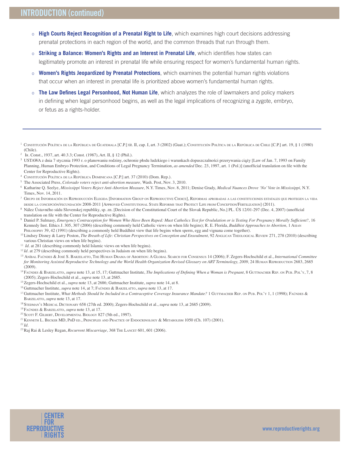- o **High Courts Reject Recognition of a Prenatal Right to Life**, which examines high court decisions addressing prenatal protections in each region of the world, and the common threads that run through them.
- o **Striking a Balance: Women's Rights and an Interest in Prenatal Life**, which identifies how states can legitimately promote an interest in prenatal life while ensuring respect for women's fundamental human rights.
- o **Women's Rights Jeopardized by Prenatal Protections**, which examines the potential human rights violations that occur when an interest in prenatal life is prioritized above women's fundamental human rights.
- o **The Law Defines Legal Personhood, Not Human Life**, which analyzes the role of lawmakers and policy makers in defining when legal personhood begins, as well as the legal implications of recognizing a zygote, embryo, or fetus as a rights-holder.

- <sup>2</sup>IR. Const., 1937, art. 40.3.3; Const. (1987), Art. II, § 12 (Phil.).
- <sup>3</sup> USTAWA z dnia 7 stycznia 1993 r. o planowaniu rodziny, ochronie płodu ludzkiego i warunkach dopuszczalności przerywania ciąży [Law of Jan. 7, 1993 on Family Planning, Human Embryo Protection, and Conditions of Legal Pregnancy Termination, as amended Dec. 23, 1997, art. 1 (Pol.)] (unofficial translation on file with the Center for Reproductive Rights).
- <sup>4</sup> CONSTITUCIÓN POLÍTICA DE LA REPÚBLICA DOMINICANA [C.P.] art. 37 (2010) (Dom. Rep.).
- <sup>5</sup> The Associated Press, *Colorado voters reject anti-abortion measure*, Wash. Post, Nov. 3, 2010.
- <sup>6</sup> Katharine Q. Seelye, Mississippi Voters Reject Anti-Abortion Measure, N.Y. Times, Nov. 8, 2011; Denise Grady, Medical Nuances Drove 'No' Vote in Mississippi, N.Y. Times, Nov. 14, 2011.
- <sup>7</sup> GRUPO DE INFORMACIÓN EN REPRODUCCIÓN ELEGIDA [INFORMATION GROUP ON REPRODUCTIVE CHOICE], REFORMAS APROBADAS <sup>A</sup> LAS CONSTITUCIONES ESTATALES QUE PROTEGEN LA VIDA DESDE LA CONCEPCIÓN/FECUNDACIÓN 2008-2011 [APPROVED CONSTITUTIONAL STATE REFORMS THAT PROTECT LIFE FROM CONCEPTION/FERTILIZATION] (2011).
- <sup>8</sup> Nález Ústavného súdu Slovenskej republiky, sp. zn. [Decision of the Constitutional Court of the Slovak Republic, No.] PL. ÚS 12/01-297 (Dec. 4, 2007) (unofficial translation on file with the Center for Reproductive Rights).
- <sup>9</sup> Daniel P. Sulmasy, *Emergency Contraception for Women Who Have Been Raped: Must Catholics Test for Ovululation or is Testing For Pregnancy Morally Sufficient?, 16* Kennedy Inst. Ethics J. 305, 307 (2006) (describing commonly held Catholic views on when life begins); R. E. Florida, *Buddhist Approaches to Abortion*, 1 AsIAN PHILOSOPHY 39, 42 (1991) (describing a commonly held Buddhist view that life begins when sperm, egg and vignana come together).
- <sup>10</sup> Lindsey Disney & Larry Poston, *The Breath of Life: Christian Perspectives on Conception and Ensoulment*, 92 ANGLICAN THEOLOGICAL REVIEW 271, 278 (2010) (describing various Christian views on when life begins).
- <sup>11</sup> *Id.* at 281 (describing commonly held Islamic views on when life begins).
- <sup>12</sup> Id. at 279 (describing commonly held perspectives in Judaism on when life begins).
- <sup>13</sup> ANÍBAL FAÚNDES & JOSÉ S. BARZELATTO, THE HUMAN DRAMA OF ABORTION: A GLOBAL SEARCH FOR CONSENSUS 14 (2006); F. Zegers-Hochschild et al., *International Committee* for Monitoring Assisted Reproductive Technology and the World Health Organization Revised Glossary on ART Terminology, 2009, 24 HUMAN REPRODUCTION 2683, 2685 (2009).
- <sup>14</sup> FAÚNDES & BARZELATTO, *supra* note 13, at 15, 17; Guttmacher Institute, The Implications of Defining When a Woman is Pregnant, 8 GUTTMACHER REP. ON PUB. POL'Y, 7, 8 (2005); Zegers-Hochschild et al., *supra* note 13, at 2685.
- <sup>15</sup> Zegers-Hochschild et al., *supra* note 13, at 2686; Guttmacher Institute, *supra* note 14, at 8.
- <sup>16</sup> Guttmacher Institute, *supra* note 14, at 7; FAÚNDES & BARZELATTO, *supra* note 13, at 17.
- <sup>17</sup> Guttmacher Institute, What Methods Should be Included in a Contraceptive Coverage Insurance Mandate? 1 GUTTMACHER REP. ON PUB. POL'Y 1, 1 (1998); FAÚNDES & BARZELATTO, *supra* note 13, at 17.
- 18 STEDMAN's MEDICAL DICTIONARY 658 (27th ed. 2000); Zegers-Hochschild et al., *supra* note 13, at 2685 (2009).
- <sup>19</sup> FAÚNDES & BARZELATTO, *supra* note 13, at 17.
- $20$  SCOTT F. GILBERT, DEVELOPMENTAL BIOLOGY 827 (5th ed., 1997).
- <sup>21</sup> KENNETH L. BECKER MD, PHD ED., PRINCIPLES AND PRACTICE OF ENDOCRINOLOGY & METABOLISM 1050 (Ch. 107) (2001).
- $22$  *Id.*
- <sup>23</sup>Raj Rai & Lesley Regan, *Recurrent Miscarriage*, 368 THE LANCET 601, 601 (2006).



<sup>&</sup>lt;sup>1</sup> CONSTITUCIÓN POLÍTICA DE LA REPÚBLICA DE GUATEMALA [C.P.] tit. II, cap. I, art. 3 (2002) (Guat.); CONSTITUCIÓN POLÍTICA DE LA REPÚBLICA DE CHILE [C.P.] art. 19, § 1 (1980) (Chile).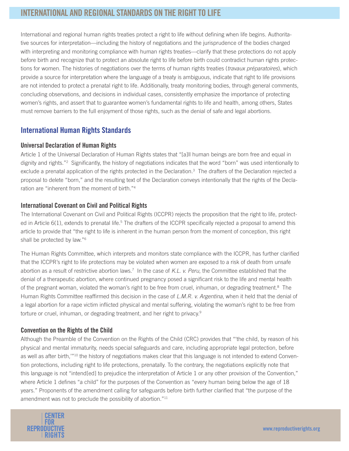# **INTERNATIONAL AND REGIONAL STANDARDS ON THE RIGHT TO LIFE**

International and regional human rights treaties protect a right to life without defining when life begins. Authoritative sources for interpretation—including the history of negotiations and the jurisprudence of the bodies charged with interpreting and monitoring compliance with human rights treaties—clarify that these protections do not apply before birth and recognize that to protect an absolute right to life before birth could contradict human rights protections for women. The histories of negotiations over the terms of human rights treaties (*travaux préparatoires*), which provide a source for interpretation where the language of a treaty is ambiguous, indicate that right to life provisions are not intended to protect a prenatal right to life. Additionally, treaty monitoring bodies, through general comments, concluding observations, and decisions in individual cases, consistently emphasize the importance of protecting women's rights, and assert that to guarantee women's fundamental rights to life and health, among others, States must remove barriers to the full enjoyment of those rights, such as the denial of safe and legal abortions.

## **International Human Rights Standards**

#### **Universal Declaration of Human Rights**

Article 1 of the Universal Declaration of Human Rights states that "[a]ll human beings are born free and equal in dignity and rights."2 Significantly, the history of negotiations indicates that the word "born" was used intentionally to exclude a prenatal application of the rights protected in the Declaration.<sup>3</sup> The drafters of the Declaration rejected a proposal to delete "born," and the resulting text of the Declaration conveys intentionally that the rights of the Declaration are "inherent from the moment of birth."4

#### **International Covenant on Civil and Political Rights**

The International Covenant on Civil and Political Rights (ICCPR) rejects the proposition that the right to life, protected in Article 6(1), extends to prenatal life.<sup>5</sup> The drafters of the ICCPR specifically rejected a proposal to amend this article to provide that "the right to life is inherent in the human person from the moment of conception, this right shall be protected by law."<sup>6</sup>

The Human Rights Committee, which interprets and monitors state compliance with the ICCPR, has further clarified that the ICCPR's right to life protections may be violated when women are exposed to a risk of death from unsafe abortion as a result of restrictive abortion laws.<sup>7</sup> In the case of K.L. v. Peru, the Committee established that the denial of a therapeutic abortion, where continued pregnancy posed a significant risk to the life and mental health of the pregnant woman, violated the woman's right to be free from cruel, inhuman, or degrading treatment.<sup>8</sup> The Human Rights Committee reaffirmed this decision in the case of L.M.R. v. Argentina, when it held that the denial of a legal abortion for a rape victim inflicted physical and mental suffering, violating the woman's right to be free from torture or cruel, inhuman, or degrading treatment, and her right to privacy.<sup>9</sup>

#### **Convention on the Rights of the Child**

Although the Preamble of the Convention on the Rights of the Child (CRC) provides that "'the child, by reason of his physical and mental immaturity, needs special safeguards and care, including appropriate legal protection, before as well as after birth,"<sup>10</sup> the history of negotiations makes clear that this language is not intended to extend Convention protections, including right to life protections, prenatally. To the contrary, the negotiations explicitly note that this language is not "intend[ed] to prejudice the interpretation of Article 1 or any other provision of the Convention," where Article 1 defines "a child" for the purposes of the Convention as "every human being below the age of 18 years." Proponents of the amendment calling for safeguards before birth further clarified that "the purpose of the amendment was not to preclude the possibility of abortion."<sup>11</sup>

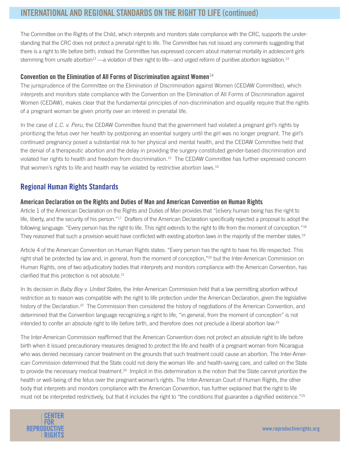# **INTERNATIONAL AND REGIONAL STANDARDS ON THE RIGHT TO LIFE (continued)**

The Committee on the Rights of the Child, which interprets and monitors state compliance with the CRC, supports the understanding that the CRC does not protect a prenatal right to life. The Committee has not issued any comments suggesting that there is a right to life before birth; instead the Committee has expressed concern about maternal mortality in adolescent girls stemming from unsafe abortion<sup>12</sup> —a violation of their right to life—and urged reform of punitive abortion legislation.<sup>13</sup>

#### **Convention on the Elimination of All Forms of Discrimination against Women**<sup>14</sup>

The jurisprudence of the Committee on the Elimination of Discrimination against Women (CEDAW Committee), which interprets and monitors state compliance with the Convention on the Elimination of All Forms of Discrimination against Women (CEDAW), makes clear that the fundamental principles of non-discrimination and equality require that the rights of a pregnant woman be given priority over an interest in prenatal life.

In the case of L.C. v. Peru, the CEDAW Committee found that the government had violated a pregnant girl's rights by prioritizing the fetus over her health by postponing an essential surgery until the girl was no longer pregnant. The girl's continued pregnancy posed a substantial risk to her physical and mental health, and the CEDAW Committee held that the denial of a therapeutic abortion and the delay in providing the surgery constituted gender-based discrimination and violated her rights to health and freedom from discrimination.15 The CEDAW Committee has further expressed concern that women's rights to life and health may be violated by restrictive abortion laws.16

## **Regional Human Rights Standards**

#### **American Declaration on the Rights and Duties of Man and American Convention on Human Rights**

Article 1 of the American Declaration on the Rights and Duties of Man provides that "[e]very human being has the right to life, liberty, and the security of his person."<sup>17</sup> Drafters of the American Declaration specifically rejected a proposal to adopt the following language: "Every person has the right to life. This right extends to the right to life from the moment of conception."<sup>18</sup> They reasoned that such a provision would have conflicted with existing abortion laws in the majority of the member states.<sup>19</sup>

Article 4 of the American Convention on Human Rights states: "Every person has the right to have his life respected. This right shall be protected by law and, in general, from the moment of conception,"<sup>20</sup> but the Inter-American Commission on Human Rights, one of two adjudicatory bodies that interprets and monitors compliance with the American Convention, has clarified that this protection is not absolute.<sup>21</sup>

In its decision in Baby Boy v. United States, the Inter-American Commission held that a law permitting abortion without restriction as to reason was compatible with the right to life protection under the American Declaration, given the legislative history of the Declaration.<sup>22</sup> The Commission then considered the history of negotiations of the American Convention, and determined that the Convention language recognizing a right to life, "in general, from the moment of conception" is not intended to confer an absolute right to life before birth, and therefore does not preclude a liberal abortion law.23

The Inter-American Commission reaffirmed that the American Convention does not protect an absolute right to life before birth when it issued precautionary measures designed to protect the life and health of a pregnant woman from Nicaragua who was denied necessary cancer treatment on the grounds that such treatment could cause an abortion. The Inter-American Commission determined that the State could not deny the woman life- and health-saving care, and called on the State to provide the necessary medical treatment.<sup>24</sup> Implicit in this determination is the notion that the State cannot prioritize the health or well-being of the fetus over the pregnant woman's rights. The Inter-American Court of Human Rights, the other body that interprets and monitors compliance with the American Convention, has further explained that the right to life must not be interpreted restrictively, but that it includes the right to "the conditions that guarantee a dignified existence."<sup>25</sup>

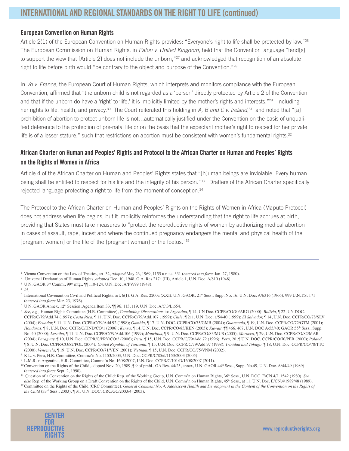#### **European Convention on Human Rights**

Article 2(1) of the European Convention on Human Rights provides: "Everyone's right to life shall be protected by law."<sup>26</sup> The European Commission on Human Rights, in Paton v. United Kingdom, held that the Convention language "tend[s] to support the view that [Article 2] does not include the unborn,"<sup>27</sup> and acknowledged that recognition of an absolute right to life before birth would "be contrary to the object and purpose of the Convention."28

In Vo v. France, the European Court of Human Rights, which interprets and monitors compliance with the European Convention, affirmed that "the unborn child is not regarded as a 'person' directly protected by Article 2 of the Convention and that if the unborn do have a 'right' to 'life,' it is implicitly limited by the mother's rights and interests,"<sup>29</sup> including her rights to life, health, and privacy.<sup>30</sup> The Court reiterated this holding in A, B and C v. Ireland,<sup>31</sup> and noted that "[a] prohibition of abortion to protect unborn life is not…automatically justified under the Convention on the basis of unqualified deference to the protection of pre-natal life or on the basis that the expectant mother's right to respect for her private life is of a lesser stature," such that restrictions on abortion must be consistent with women's fundamental rights. $32$ 

## **African Charter on Human and Peoples' Rights and Protocol to the African Charter on Human and Peoples' Rights on the Rights of Women in Africa**

Article 4 of the African Charter on Human and Peoples' Rights states that "[h]uman beings are inviolable. Every human being shall be entitled to respect for his life and the integrity of his person."<sup>33</sup> Drafters of the African Charter specifically rejected language protecting a right to life from the moment of conception.<sup>34</sup>

The Protocol to the African Charter on Human and Peoples' Rights on the Rights of Women in Africa (Maputo Protocol) does not address when life begins, but it implicitly reinforces the understanding that the right to life accrues at birth, providing that States must take measures to "protect the reproductive rights of women by authorizing medical abortion in cases of assault, rape, incest and where the continued pregnancy endangers the mental and physical health of the [pregnant woman] or the life of the [pregnant woman] or the foetus."35

<sup>&</sup>lt;sup>12</sup> Committee on the Rights of the Child (CRC Committee), General Comment No. 4: Adolescent Health and Development in the Content of the Convention on the Rights of the Child (33<sup>rd</sup> Sess., 2003), ¶ 31, U.N. DOC. CRC/GC/2003/4 (2003).



<sup>&</sup>lt;sup>1</sup> Vienna Convention on the Law of Treaties, art. 32, adopted May 23, 1969, 1155 u.n.t.s. 331 (entered into force Jan. 27, 1980).

<sup>&</sup>lt;sup>2</sup> Universal Declaration of Human Rights, *adopted* Dec. 10, 1948, G.A. Res.217a (III), Article 1, U.N. Doc. A/810 (1948).

<sup>&</sup>lt;sup>3</sup> U.N. GAOR <sup>3rd</sup> Comm., 99<sup>th</sup> mtg.,  $\P\P$  110-124, U.N. Doc. A/PV/99 (1948).

<sup>4</sup> *Id.*

 $5$  International Covenant on Civil and Political Rights, art. 6(1), G.A. Res. 2200a (XXI), U.N. GAOR, 21st Sess., Supp. No. 16, U.N. Doc. A/6316 (1966), 999 U.N.T.S. 171 (*entered into force* Mar. 23, 1976).

 $6$  U.N. GAOR Annex,  $12<sup>th</sup>$  Session, Agenda Item 33,  $\P$  $96$ , 113, 119, U.N. Doc. A/C.3/L.654.

<sup>&</sup>lt;sup>7</sup> See, e.g., Human Rights Committee (H.R. Committee), *Concluding Observations* to: *Argentina*, *[*[14, UN Doc. CCPR/CO/70/ARG (2000); *Bolivia*, *[*[22, UN DOC. CCPR/C/79/Add.74 (1997); Costa Rica, 11, U.N. Doc. CCPR/C/79/Add.107 (1999); Chile, 1211, U.N. Doc. a/54/40 (1999); El Salvador, 114, U.N. Doc. CCPR/CO/78/SLV (2004); *Ecuador*, *[*[11, U.N. Doc. CCPR/C/79/Add.92 (1998); *Gambia*, *[[17, U.N. DOC. CCPR/CO/75/GMB (2004); Guatemala, <sup><i>[[19, U.N. Doc. CCPR/CO/72/GTM (2001)*;</sup> Honduras, ¶ 8, U.N. Doc. CCPR/C/HND/CO/1 (2006); Kenya, ¶ 14, U.N. Doc. CCPR/CO/83/KEN (2005); Kuwait, ¶¶ 466, 467, U.N. DOC A/55/40; GAOR 55<sup>th</sup> Sess., Supp. No. 40 (2000); Lesotho,  $\P$  11, U.N. Doc. CCPR/C/79/Add.106 (1999); *Mauritius*,  $\P$  9, U.N. Doc. CCPR/CO/83/MUS (2005); *Morocco*,  $\P$  29, U.N. Doc. CCPR/CO/82/MAR (2004); Paraguay, ¶ 10, U.N. Doc. CCPR/C/PRY/CO/2 (2006); Peru, ¶ 15, U.N. Doc. CCPR/C/79/Add.72 (1996); *Peru*, 20, ¶ U.N. DOC. CCPR/CO/70/PER (2000); *Poland*, ¶"8, U.N. Doc. &&35&232/ (2004); *United Republic of Tanzania,* ¶"U.N. Doc. &&35&Add.97 (1998); *Trinidad and Tobago,* ¶"18, U.N. Doc. &&35&2TTO (2000); *Venezuela,*  $\P$  19, U.N. Doc. CCPR/CO/71/VEN (2001); *Vietnam*,  $\P$  15, U.N. Doc. CCPR/CO/75/VNM (2002).

<sup>8</sup> K.L. v. Peru, H.R. Committee, Commc'n No. 1153/2003, U.N. Doc. CCPR/C/85/d/1153/2003 (2005).

 $9$  L.M.R. v. Argentina, H.R. Committee, Commc'n No. 1608/2007, U.N. Doc. CCPR/C/101/D/1608/2007 (2011).

<sup>&</sup>lt;sup>10</sup> Convention on the Rights of the Child, adopted Nov. 20, 1989, ¶9 of pmbl., GA Res. 44/25, annex, U.N. GAOR 44<sup>th</sup> Sess., Supp. No.49, U.N. Doc. A/44/49 (1989) (*entered into force* Sept. 2, 1990).

<sup>&</sup>lt;sup>11</sup> Question of a Convention on the Rights of the Child: Rep. of the Working Group, U.N. Comm'n on Human Rights, 36<sup>th</sup> Sess., U.N. DOC. E/CN.4/L.1542 (1980). See *also* Rep. of the Working Group on a Draft Convention on the Rights of the Child, U.N. Comm'n on Human Rights, 45<sup>th</sup> Sess., at 11, U.N. Doc. E/CN.4/1989/48 (1989).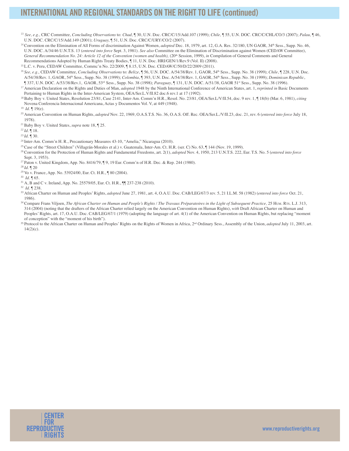# **INTERNATIONAL AND REGIONAL STANDARDS ON THE RIGHT TO LIFE (continued)**

- <sup>13</sup> See, e.g., CRC Committee, Concluding Observations to: Chad, [[30, U.N. Doc. CRC/C/15/Add.107 (1999); Chile, [[55, U.N. DOC. CRC/C/CHL/CO/3 (2007); Palau, [[46, U.N. DOC. CRC/C/15/Add.149 (2001); *Uruguay*, **[51, U.N. Doc. CRC/C/URY/CO/2 (2007).**
- <sup>14</sup> Convention on the Elimination of All Forms of discrimination Against Women, *adopted* Dec. 18, 1979, art. 12, G.A. Res. 32/180, UN GAOR, 34<sup>th</sup> Sess., Supp. No. 46, U.N. DOC. A/34/46 U.N.T.S. 13 (*entered into force Sept.* 3, 1981). *See also* Committee on the Elimination of Discrimination against Women (CEDAW Committee), *General Recommendation No. 24: Article 12 of the Convention (women and health)*, (20<sup>th</sup> Session, 1999), *in* Compilation of General Comments and General Recommendations Adopted by Human Rights Treaty Bodies,  $\P$  11, U.N. Doc. HRI/GEN/1/Rev.9 (Vol. II) (2008).
- <sup>15</sup> L.C. v. Peru, CEDAW Committee, Commc'n No. 22/2009, ¶ 8.15, U.N. Doc. CEDAW/C/50/D/22/2009 (2011).
- <sup>16</sup> See, e.g., CEDAW Committee, Concluding Observations to: Belize, ¶ 56, U.N. DOC. A/54/38/Rev. 1, GAOR, 54<sup>th</sup> Sess., Supp. No. 38 (1999); *Chile*, ¶ 228, U.N. Doc. A/54/38/Rev. 1, GAOR, 54<sup>th</sup> Sess., Supp. No. 38 (1999); *Colombia*, ¶ 393, U.N. Doc. A/54/38/Rev. 1, GAOR, 54<sup>th</sup> Sess., Supp. No. 38 (1999); *Dominican Republic*, ¶ 337, 81'2&\$5HY \*\$25rd Sess., Supp. No. 38 (1998); *Paraguay*, ¶ 131, U.N. DOC. A\*\$25st Sess., Supp. No. 38 (1996).
- <sup>17</sup> American Declaration on the Rights and Duties of Man, *adopted* 1948 by the Ninth International Conference of American States, art. 1, *reprinted in* Basic Documents Pertaining to Human Rights in the Inter-American System, OEA/Ser.L.V/II.82 doc.6 rev.1 at 17 (1992).
- 18 Baby Boy v. United States, Resolution 23/81, Case 2141, Inter-Am. Comm'n H.R., Resol. No. 23/81, OEA/Ser.L/V/II.54, doc. 9 rev. 1, 118(b) (Mar. 6, 1981), citing Novena Conferencia Internacional Americana, Actas y Documentos Vol. V, at 449 (1948).
- <sup>19</sup>*Id.* ¶ 19(e).
- <sup>20</sup> American Convention on Human Rights, *adopted* Nov. 22, 1969, O.A.S.T.S. No. 36, O.A.S. Off. Rec. OEA/Ser.L./V/II.23, doc. 21, rev. 6 (*entered into force* July 18, 1978).
- <sup>21</sup> Baby Boy v. United States, *supra* note 18, ¶ 25.

<sup>22</sup> *Id.* ¶ 18.

<sup>23</sup> *Id.* ¶ 30.

- <sup>24</sup> Inter-Am. Comm'n H. R., Precautionary Measures 43-10, "Amelia," Nicaragua (2010).
- <sup>25</sup>Case of the "Street Children" (Villagrán-Morales et al.) v. Guatemala, Inter-Am. Ct. H.R. (ser. C) No. 63, ¶ 144 (Nov. 19, 1999).
- <sup>26</sup> Convention for the Protection of Human Rights and Fundamental Freedoms, art. 2(1), *adopted* Nov. 4, 1950, 213 U.N.T.S. 222, Eur. T.S. No. 5 (entered into force Sept. 3, 1953).
- <sup>27</sup> Paton v. United Kingdom, App. No. 8416/79, [9, 19 Eur. Comm'n of H.R. Dec. & Rep. 244 (1980).
- <sup>28</sup>*Id.* ¶ 20
- <sup>29</sup> Vo v. France, App. No. 53924/00, Eur. Ct. H.R., ¶ 80 (2004).
- <sup>30</sup>*Id.* ¶
- $31$  A, B and C v. Ireland, App. No. 25579/05, Eur. Ct. H.R.,  $\P$  $[237-238(2010)$ .
- <sup>32</sup>*Id.* ¶ 238.
- <sup>33</sup> African Charter on Human and Peoples' Rights, *adopted June 27*, 1981, art. 4, O.A.U. Doc. CAB/LEG/67/3 rev. 5, 21 I.L.M. 58 (1982) (entered into force Oct. 21, 1986).
- <sup>34</sup> Compare Frans Viljoen, The African Charter on Human and People's Rights / The Travaux Préparatoires in the Light of Subsequent Practice, 25 HUM. RTs. L.J. 313, 314 (2004) (noting that the drafters of the African Charter relied largely on the American Convention on Human Rights), with Draft African Charter on Human and Peoples' Rights, art. 17, O.A.U. Doc. CAB/LEG/67/1 (1979) (adopting the language of art. 4(1) of the American Convention on Human Rights, but replacing "moment of conception" with the "moment of his birth").
- <sup>35</sup> Protocol to the African Charter on Human and Peoples' Rights on the Rights of Women in Africa, 2<sup>nd</sup> Ordinary Sess., Assembly of the Union, *adopted* July 11, 2003, art.  $14(2)(c)$ .

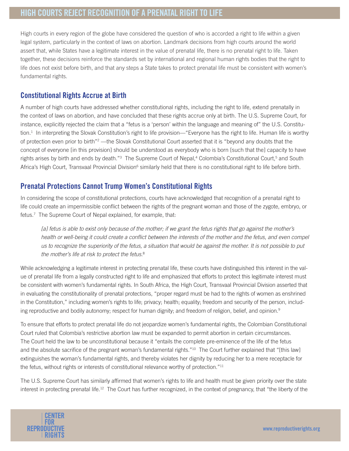High courts in every region of the globe have considered the question of who is accorded a right to life within a given legal system, particularly in the context of laws on abortion. Landmark decisions from high courts around the world assert that, while States have a legitimate interest in the value of prenatal life, there is no prenatal right to life. Taken together, these decisions reinforce the standards set by international and regional human rights bodies that the right to life does not exist before birth, and that any steps a State takes to protect prenatal life must be consistent with women's fundamental rights.

## **Constitutional Rights Accrue at Birth**

A number of high courts have addressed whether constitutional rights, including the right to life, extend prenatally in the context of laws on abortion, and have concluded that these rights accrue only at birth. The U.S. Supreme Court, for instance, explicitly rejected the claim that a "fetus is a 'person' within the language and meaning of" the U.S. Constitution.1 In interpreting the Slovak Constitution's right to life provision—"Everyone has the right to life. Human life is worthy of protection even prior to birth"<sup>2</sup>—the Slovak Constitutional Court asserted that it is "beyond any doubts that the concept of everyone [in this provision] should be understood as everybody who is born [such that the] capacity to have rights arises by birth and ends by death."<sup>3</sup> The Supreme Court of Nepal,<sup>4</sup> Colombia's Constitutional Court,<sup>5</sup> and South Africa's High Court, Transvaal Provincial Division<sup>6</sup> similarly held that there is no constitutional right to life before birth.

## **Prenatal Protections Cannot Trump Women's Constitutional Rights**

In considering the scope of constitutional protections, courts have acknowledged that recognition of a prenatal right to life could create an impermissible conflict between the rights of the pregnant woman and those of the zygote, embryo, or fetus.<sup>7</sup> The Supreme Court of Nepal explained, for example, that:

[a] fetus is able to exist only because of the mother; if we grant the fetus rights that go against the mother's health or well-being it could create a conflict between the interests of the mother and the fetus, and even compel us to recognize the superiority of the fetus, a situation that would be against the mother. It is not possible to put the mother's life at risk to protect the fetus.<sup>8</sup>

While acknowledging a legitimate interest in protecting prenatal life, these courts have distinguished this interest in the value of prenatal life from a legally constructed right to life and emphasized that efforts to protect this legitimate interest must be consistent with women's fundamental rights. In South Africa, the High Court, Transvaal Provincial Division asserted that in evaluating the constitutionality of prenatal protections, "proper regard must be had to the rights of women as enshrined in the Constitution," including women's rights to life; privacy; health; equality; freedom and security of the person, including reproductive and bodily autonomy; respect for human dignity; and freedom of religion, belief, and opinion.<sup>9</sup>

To ensure that efforts to protect prenatal life do not jeopardize women's fundamental rights, the Colombian Constitutional Court ruled that Colombia's restrictive abortion law must be expanded to permit abortion in certain circumstances. The Court held the law to be unconstitutional because it "entails the complete pre-eminence of the life of the fetus and the absolute sacrifice of the pregnant woman's fundamental rights."<sup>10</sup> The Court further explained that "[this law] extinguishes the woman's fundamental rights, and thereby violates her dignity by reducing her to a mere receptacle for the fetus, without rights or interests of constitutional relevance worthy of protection."11

The U.S. Supreme Court has similarly affirmed that women's rights to life and health must be given priority over the state interest in protecting prenatal life.<sup>12</sup> The Court has further recognized, in the context of pregnancy, that "the liberty of the

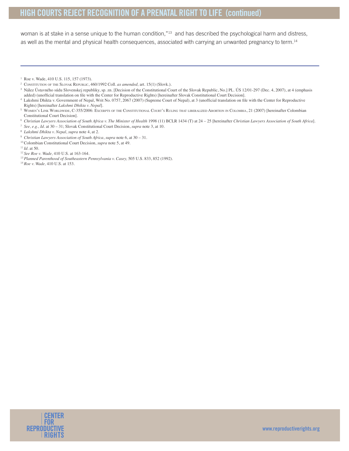# **HIGH COURTS REJECT RECOGNITION OF A PRENATAL RIGHTTO LIFE (continued)**

woman is at stake in a sense unique to the human condition,"<sup>13</sup> and has described the psychological harm and distress, as well as the mental and physical health consequences, associated with carrying an unwanted pregnancy to term.<sup>14</sup>

<sup>10</sup> Colombian Constitutional Court Decision, *supra* note 5, at 49.



 $1$  Roe v. Wade, 410 U.S. 115, 157 (1973).

<sup>&</sup>lt;sup>2</sup> CONSTITUTION OF THE SLOVAK REPUBLIC, 460/1992 Coll. as amended, art. 15(1) (Slovk.).

<sup>&</sup>lt;sup>3</sup> Nález Ústavného súdu Slovenskej republiky, sp. zn. [Decision of the Constitutional Court of the Slovak Republic, No.] PL. ÚS 12/01-297 (Dec. 4, 2007), at 4 (emphasis added) (unofficial translation on file with the Center for Reproductive Rights) [hereinafter Slovak Constitutional Court Decision].

<sup>&</sup>lt;sup>4</sup> Lakshmi Dhikta v. Government of Nepal, Writ No. 0757, 2067 (2007) (Supreme Court of Nepal), at 3 (unofficial translation on file with the Center for Reproductive Rights) [hereinafter *Lakshmi Dhikta v. Nepal*].

<sup>&</sup>lt;sup>5</sup> WOMEN'S LINK WORLDWIDE, C-355/2006: EXCERPTS OF THE CONSTITUTIONAL COURT'S RULING THAT LIBERALIZED ABORTION IN COLOMBIA, 21 (2007) [hereinafter Colombian Constitutional Court Decision].

<sup>6</sup> Christian Lawyers Association of South Africa v. The Minister of Health 1998 (11) BCLR 1434 (T) at 24 - 25 [hereinafter Christian Lawyers Association of South Africa].

<sup>&</sup>lt;sup>7</sup> *See, e.g., Id.* at 30 – 31; Slovak Constitutional Court Decision, *supra* note 3, at 10.

<sup>8</sup> *Lakshmi Dhikta v. Nepal*, *supra* note 4, at 2.

<sup>9</sup> *Christian Lawyers Association of South Africa*, *supra* note 6, at 30 – 31.

 $11$ *Id.* at 50.

<sup>&</sup>lt;sup>12</sup> See Roe v. Wade, 410 U.S. at 163-164.

<sup>&</sup>lt;sup>13</sup> Planned Parenthood of Southeastern Pennsylvania v. Casey, 505 U.S. 833, 852 (1992).

<sup>&</sup>lt;sup>14</sup> Roe v. Wade, 410 U.S. at 153.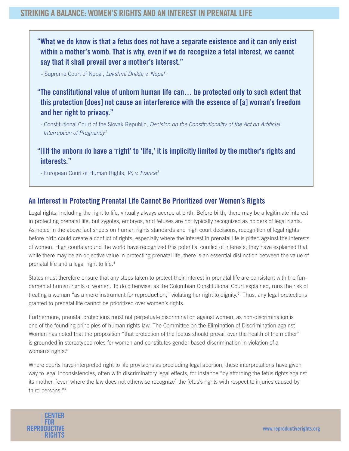# **STRIKING A BALANCE: WOMEN'S RIGHTS AND AN INTERESTIN PRENATAL LIFE**

**"What we do know is that a fetus does not have a separate existence and it can only exist within a mother's womb. That is why, even if we do recognize a fetal interest, we cannot say that it shall prevail over a mother's interest."** 

- Supreme Court of Nepal, Lakshmi Dhikta v. Nepal<sup>1</sup>

- **"The constitutional value of unborn human life can… be protected only to such extent that this protection [does] not cause an interference with the essence of [a] woman's freedom and her right to privacy."**
- Constitutional Court of the Slovak Republic, Decision on the Constitutionality of the Act on Artificial Interruption of Pregnancy<sup>2</sup>

**"[I]f the unborn do have a 'right' to 'life,' it is implicitly limited by the mother's rights and interests."**

- European Court of Human Rights, Vo v. France<sup>3</sup>

## **An Interest in Protecting Prenatal Life Cannot Be Prioritized over Women's Rights**

Legal rights, including the right to life, virtually always accrue at birth. Before birth, there may be a legitimate interest in protecting prenatal life, but zygotes, embryos, and fetuses are not typically recognized as holders of legal rights. As noted in the above fact sheets on human rights standards and high court decisions, recognition of legal rights before birth could create a conflict of rights, especially where the interest in prenatal life is pitted against the interests of women. High courts around the world have recognized this potential conflict of interests; they have explained that while there may be an objective value in protecting prenatal life, there is an essential distinction between the value of prenatal life and a legal right to life.<sup>4</sup>

States must therefore ensure that any steps taken to protect their interest in prenatal life are consistent with the fundamental human rights of women. To do otherwise, as the Colombian Constitutional Court explained, runs the risk of treating a woman "as a mere instrument for reproduction," violating her right to dignity.<sup>5</sup> Thus, any legal protections granted to prenatal life cannot be prioritized over women's rights.

Furthermore, prenatal protections must not perpetuate discrimination against women, as non-discrimination is one of the founding principles of human rights law. The Committee on the Elimination of Discrimination against Women has noted that the proposition "that protection of the foetus should prevail over the health of the mother" is grounded in stereotyped roles for women and constitutes gender-based discrimination in violation of a woman's rights.<sup>6</sup>

Where courts have interpreted right to life provisions as precluding legal abortion, these interpretations have given way to legal inconsistencies, often with discriminatory legal effects, for instance "by affording the fetus rights against its mother, [even where the law does not otherwise recognize] the fetus's rights with respect to injuries caused by third persons."7

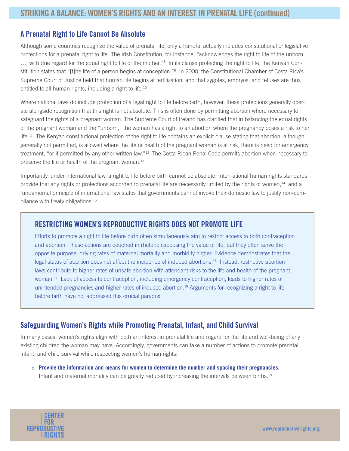## **A Prenatal Right to Life Cannot Be Absolute**

Although some countries recognize the value of prenatal life, only a handful actually includes constitutional or legislative protections for a prenatal right to life. The Irish Constitution, for instance, "acknowledges the right to life of the unborn ..., with due regard for the equal right to life of the mother."<sup>8</sup> In its clause protecting the right to life, the Kenyan Constitution states that "[t]he life of a person begins at conception."<sup>9</sup> In 2000, the Constitutional Chamber of Costa Rica's Supreme Court of Justice held that human life begins at fertilization, and that zygotes, embryos, and fetuses are thus entitled to all human rights, including a right to life.<sup>10</sup>

Where national laws do include protection of a legal right to life before birth, however, these protections generally operate alongside recognition that this right is not absolute. This is often done by permitting abortion where necessary to safeguard the rights of a pregnant woman. The Supreme Court of Ireland has clarified that in balancing the equal rights of the pregnant woman and the "unborn," the woman has a right to an abortion where the pregnancy poses a risk to her  $l$  The Kenyan constitutional protection of the right to life contains an explicit clause stating that abortion, although generally not permitted, is allowed where the life or health of the pregnant woman is at risk, there is need for emergency treatment, "or if permitted by any other written law."12 The Costa Rican Penal Code permits abortion when necessary to preserve the life or health of the pregnant woman.<sup>13</sup>

Importantly, under international law, a right to life before birth cannot be absolute. International human rights standards provide that any rights or protections accorded to prenatal life are necessarily limited by the rights of women,<sup>14</sup> and a fundamental principle of international law states that governments cannot invoke their domestic law to justify non-compliance with treaty obligations.15

## **RESTRICTING WOMEN'S REPRODUCTIVE RIGHTS DOES NOT PROMOTE LIFE**

Efforts to promote a right to life before birth often simultaneously aim to restrict access to both contraception and abortion. These actions are couched in rhetoric espousing the value of life, but they often serve the opposite purpose, driving rates of maternal mortality and morbidity higher. Evidence demonstrates that the legal status of abortion does not affect the incidence of induced abortions.16 Instead, restrictive abortion laws contribute to higher rates of unsafe abortion with attendant risks to the life and health of the pregnant woman.<sup>17</sup> Lack of access to contraception, including emergency contraception, leads to higher rates of unintended pregnancies and higher rates of induced abortion.<sup>18</sup> Arguments for recognizing a right to life before birth have not addressed this crucial paradox.

## **Safeguarding Women's Rights while Promoting Prenatal, Infant, and Child Survival**

In many cases, women's rights align with both an interest in prenatal life and regard for the life and well-being of any existing children the woman may have. Accordingly, governments can take a number of actions to promote prenatal, infant, and child survival while respecting women's human rights:

o **Provide the information and means for women to determine the number and spacing their pregnancies.** Infant and maternal mortality can be greatly reduced by increasing the intervals between births.19

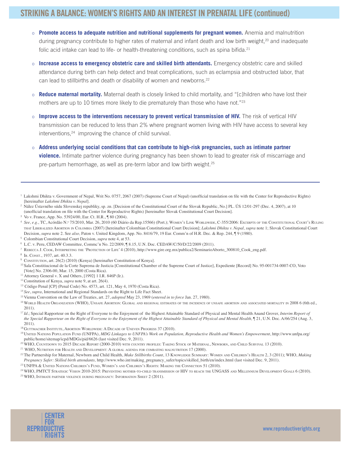# **STRIKING A BALANCE: WOMEN'S RIGHTS AND AN INTERESTIN PRENATAL LIFE (continued)**

- o **Promote access to adequate nutrition and nutritional supplements for pregnant women.** Anemia and malnutrition during pregnancy contribute to higher rates of maternal and infant death and low birth weight,<sup>20</sup> and inadequate folic acid intake can lead to life- or health-threatening conditions, such as spina bifida.<sup>21</sup>
- o **Increase access to emergency obstetric care and skilled birth attendants.** Emergency obstetric care and skilled attendance during birth can help detect and treat complications, such as eclampsia and obstructed labor, that can lead to stillbirths and death or disability of women and newborns.<sup>22</sup>
- o **Reduce maternal mortality.** Maternal death is closely linked to child mortality, and "[c]hildren who have lost their mothers are up to 10 times more likely to die prematurely than those who have not."23
- o **Improve access to the interventions necessary to prevent vertical transmission of HIV.** The risk of vertical HIV transmission can be reduced to less than 2% where pregnant women living with HIV have access to several key interventions,<sup>24</sup> improving the chance of child survival.
- o **Address underlying social conditions that can contribute to high-risk pregnancies, such as intimate partner violence.** Intimate partner violence during pregnancy has been shown to lead to greater risk of miscarriage and pre-partum hemorrhage, as well as pre-term labor and low birth weight.25

<sup>2</sup> Nález Ústavného súdu Slovenskej republiky, sp. zn. [Decision of the Constitutional Court of the Slovak Republic, No.] PL. ÚS 12/01-297 (Dec. 4, 2007), at 10 (unofficial translation on file with the Center for Reproductive Rights) [hereinafter Slovak Constitutional Court Decision].

- 4 See, e.g., TC, Acórdão N.º 75/2010, Mar. 26, 2010 (60 Diário da Rep.15566) (Port.); WOMEN's LINK WORLDWIDE, C-355/2006: Excerpts of the Constitutional Court's Ruling THAT LIBERALIZED ABORTION IN COLOMBIA (2007) [hereinafter Colombian Constitutional Court Decision]; Lakshmi Dhikta v. Nepal, supra note 1; Slovak Constitutional Court Decision, *supra* note 2. See also, Paton v. United Kingdom, App. No. 8416/79, 19 Eur. Comm'n of H.R. Dec. & Rep. 244, ¶ 9 (1980).
- <sup>5</sup> Colombian Constitutional Court Decision, *supra* note 4, at 53.

- <sup>7</sup> REBECCA J. COOK, INTERPRETING THE 'PROTECTION OF LIFE' 4 (2010), http://www.gire.org.mx/publica2/SeminarioAborto 300810 Cook eng.pdf.
- <sup>8</sup> IR. CONST., 1937, art. 40.3.3.
- $9$  CONSTITUTION, art. 26(2) (2010) (Kenya) [hereinafter Constitution of Kenya].
- <sup>10</sup> Sala Constitiucional de la Corte Suprema de Justicia [Constitutional Chamber of the Supreme Court of Justice], Expediente [Record] No. 95-001734-0007-CO, Voto [Vote] No. 2306-00, Mar. 15, 2000 (Costa Rica).
- $11$  Attorney General v. X and Others, [1992] 1 I.R. 846P (Ir.).
- <sup>12</sup> Constitution of Kenya, *supra* note 9, at art. 26(4).
- <sup>13</sup> Código Penal [CP] (Penal Code) No. 4573, art. 121, May 4, 1970 (Costa Rica).
- <sup>14</sup> See, supra, International and Regional Standards on the Right to Life Fact Sheet.
- <sup>15</sup> Vienna Convention on the Law of Treaties, art. 27, adopted May 23, 1969 (entered in to force Jan. 27, 1980).
- <sup>16</sup> WORLD HEALTH ORGANIZATION (WHO), UNSAFE ABORTION: GLOBAL AND REGIONAL ESTIMATES OF THE INCIDENCE OF UNSAFE ABORTION AND ASSOCIATED MORTALITY IN 2008 6 (6th ed., 2011).
- <sup>17</sup> *Id.*; Special Rapporteur on the Right of Everyone to the Enjoyment of the Highest Attainable Standard of Physical and Mental Health Anand Grover, *Interim Report of the Special Rapporteur on the Right of Everyone to the Enjoyment of the Highest Attainable Standard of Physical and Mental Health,* [[21, U.N. Doc. A/66/254 (Aug. 3, 2011).
- <sup>18</sup> GUTTMACHER INSTITUTE, ABORTION WORLDWIDE: A DECADE OF UNEVEN PROGRESS 37 (2010).
- <sup>19</sup> UNITED NATIONS POPULATION FUND (UNFPA), *MDG Linkages to UNFPA's Work on Population, Reproductive Health and Women's Empowerment*, http://www.unfpa.org/ public/home/sitemap/icpd/MDGs/pid/6626 (last visited Dec. 9, 2011).
- <sup>20</sup> WHO, COUNTDOWN TO 2015 DECADE REPORT (2000-2010) WITH COUNTRY PROFILES: TAKING STOCK OF MATERNAL, NEWBORN, AND CHILD SURVIVAL 13 (2010).

<sup>21</sup> WHO, NUTRITION FOR HEALTH AND DEVELOPMENT: A GLOBAL AGENDA FOR COMBATING MALNUTRITION  $17$  (2000).

- <sup>22</sup>The Partnership for Maternal, Newborn and Child Health, Make Stillbirths Count, 13 KNOWLEDGE SUMMARY: WOMEN AND CHILDREN's HEALTH 2, 3 (2011); WHO, Making *Pregnancy Safer: Skilled birth attendants, http://www.who.int/making\_pregnancy\_safer/topics/skilled\_birth/en/index.html (last visited Dec. 9, 2011).*
- <sup>23</sup> UNFPA & UNITED NATIONS CHILDREN'S FUND, WOMEN'S AND CHILDREN'S RIGHTS: MAKING THE CONNECTION 51 (2010).
- <sup>24</sup> WHO, PMTCT STRATEGIC VISION 2010-2015: PREVENTING MOTHER-TO-CHILD TRANSMISSION OF HIV TO REACH THE UNGASS AND MILLENNIUM DEVELOPMENT GOALS 6 (2010).  $^{25}$  WHO, INTIMATE PARTNER VIOLENCE DURING PREGNANCY: INFORMATION SHEET  $2$  (2011).



<sup>&</sup>lt;sup>1</sup> Lakshmi Dhikta v. Government of Nepal, Writ No. 0757, 2067 (2007) (Supreme Court of Nepal) (unofficial translation on file with the Center for Reproductive Rights) [hereinafter *Lakshmi Dhikta v. Nepal*].

<sup>&</sup>lt;sup>3</sup> Vo v. France, App. No. 53924/00, Eur. Ct. H.R., ¶ 80 (2004).

 $6$  L.C. v. Peru, CEDAW Committee, Commc'n No. 22/2009,  $\sqrt{8}$  8.15, U.N. Doc. CEDAW/C/50/D/22/2009 (2011).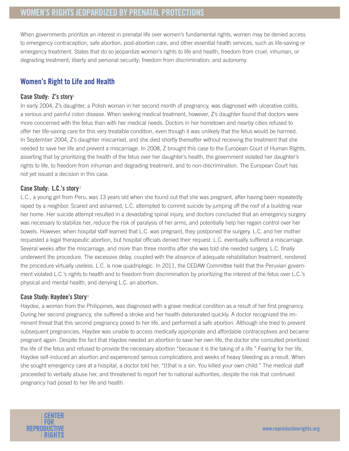# **WOMEN'S RIGHTS JEOPARDIZED BY PRENATAL PROTECTIONS**

When governments prioritize an interest in prenatal life over women's fundamental rights, women may be denied access to emergency contraception, safe abortion, post-abortion care, and other essential health services, such as life-saving or emergency treatment. States that do so jeopardize women's rights to life and health; freedom from cruel, inhuman, or degrading treatment; liberty and personal security; freedom from discrimination; and autonomy.

## **Women's Right to Life and Health**

#### **Case Study: Z's story**<sup>1</sup>

In early 2004, Z's daughter, a Polish woman in her second month of pregnancy, was diagnosed with ulcerative colitis, a serious and painful colon disease. When seeking medical treatment, however, Z's daughter found that doctors were more concerned with the fetus than with her medical needs. Doctors in her hometown and nearby cities refused to offer her life-saving care for this very treatable condition, even though it was unlikely that the fetus would be harmed. In September 2004, Z's daughter miscarried, and she died shortly thereafter without receiving the treatment that she needed to save her life and prevent a miscarriage. In 2008, Z brought this case to the European Court of Human Rights, asserting that by prioritizing the health of the fetus over her daughter's health, the government violated her daughter's rights to life, to freedom from inhuman and degrading treatment, and to non-discrimination. The European Court has not yet issued a decision in this case.

#### **Case Study: L.C.'s story** <sup>2</sup>

L.C., a young girl from Peru, was 13 years old when she found out that she was pregnant, after having been repeatedly raped by a neighbor. Scared and ashamed, L.C. attempted to commit suicide by jumping off the roof of a building near her home. Her suicide attempt resulted in a devastating spinal injury, and doctors concluded that an emergency surgery was necessary to stabilize her, reduce the risk of paralysis of her arms, and potentially help her regain control over her bowels. However, when hospital staff learned that L.C. was pregnant, they postponed the surgery. L.C. and her mother requested a legal therapeutic abortion, but hospital officials denied their request. L.C. eventually suffered a miscarriage. Several weeks after the miscarriage, and more than three months after she was told she needed surgery, L.C. finally underwent the procedure. The excessive delay, coupled with the absence of adequate rehabilitation treatment, rendered the procedure virtually useless. L.C. is now quadriplegic. In 2011, the CEDAW Committee held that the Peruvian government violated L.C.'s rights to health and to freedom from discrimination by prioritizing the interest of the fetus over L.C.'s physical and mental health, and denying L.C. an abortion.

#### **Case Study: Haydee's Story**<sup>3</sup>

Haydee, a woman from the Philippines, was diagnosed with a grave medical condition as a result of her first pregnancy. During her second pregnancy, she suffered a stroke and her health deteriorated quickly. A doctor recognized the imminent threat that this second pregnancy posed to her life, and performed a safe abortion. Although she tried to prevent subsequent pregnancies, Haydee was unable to access medically appropriate and affordable contraceptives and became pregnant again. Despite the fact that Haydee needed an abortion to save her own life, the doctor she consulted prioritized the life of the fetus and refused to provide the necessary abortion "because it is the taking of a life." Fearing for her life, Haydee self-induced an abortion and experienced serious complications and weeks of heavy bleeding as a result. When she sought emergency care at a hospital, a doctor told her, "[t]hat is a sin. You killed your own child." The medical staff proceeded to verbally abuse her, and threatened to report her to national authorities, despite the risk that continued pregnancy had posed to her life and health.

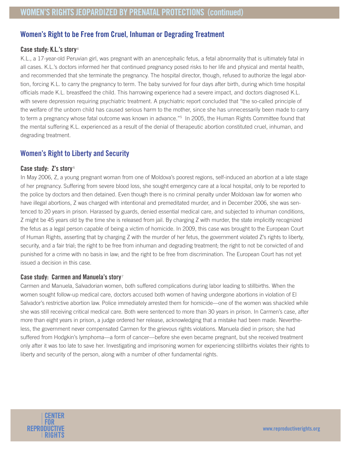## **Women's Right to be Free from Cruel, Inhuman or Degrading Treatment**

#### **Case study: K.L.'s story**<sup>4</sup>

K.L., a 17-year-old Peruvian girl, was pregnant with an anencephalic fetus, a fetal abnormality that is ultimately fatal in all cases. K.L.'s doctors informed her that continued pregnancy posed risks to her life and physical and mental health, and recommended that she terminate the pregnancy. The hospital director, though, refused to authorize the legal abortion, forcing K.L. to carry the pregnancy to term. The baby survived for four days after birth, during which time hospital officials made K.L. breastfeed the child. This harrowing experience had a severe impact, and doctors diagnosed K.L. with severe depression requiring psychiatric treatment. A psychiatric report concluded that "the so-called principle of the welfare of the unborn child has caused serious harm to the mother, since she has unnecessarily been made to carry to term a pregnancy whose fatal outcome was known in advance."5 In 2005, the Human Rights Committee found that the mental suffering K.L. experienced as a result of the denial of therapeutic abortion constituted cruel, inhuman, and degrading treatment.

## **Women's Right to Liberty and Security**

#### **Case study: Z's story** <sup>6</sup>

In May 2006, Z, a young pregnant woman from one of Moldova's poorest regions, self-induced an abortion at a late stage of her pregnancy. Suffering from severe blood loss, she sought emergency care at a local hospital, only to be reported to the police by doctors and then detained. Even though there is no criminal penalty under Moldovan law for women who have illegal abortions, Z was charged with intentional and premeditated murder, and in December 2006, she was sentenced to 20 years in prison. Harassed by guards, denied essential medical care, and subjected to inhuman conditions, Z might be 45 years old by the time she is released from jail. By charging Z with murder, the state implicitly recognized the fetus as a legal person capable of being a victim of homicide. In 2009, this case was brought to the European Court of Human Rights, asserting that by charging Z with the murder of her fetus, the government violated Z's rights to liberty, security, and a fair trial; the right to be free from inhuman and degrading treatment; the right to not be convicted of and punished for a crime with no basis in law; and the right to be free from discrimination. The European Court has not yet issued a decision in this case.

#### **Case study: Carmen and Manuela's story**<sup>7</sup>

Carmen and Manuela, Salvadorian women, both suffered complications during labor leading to stillbirths. When the women sought follow-up medical care, doctors accused both women of having undergone abortions in violation of El Salvador's restrictive abortion law. Police immediately arrested them for homicide—one of the women was shackled while she was still receiving critical medical care. Both were sentenced to more than 30 years in prison. In Carmen's case, after more than eight years in prison, a judge ordered her release, acknowledging that a mistake had been made. Nevertheless, the government never compensated Carmen for the grievous rights violations. Manuela died in prison; she had suffered from Hodgkin's lymphoma—a form of cancer—before she even became pregnant, but she received treatment only after it was too late to save her. Investigating and imprisoning women for experiencing stillbirths violates their rights to liberty and security of the person, along with a number of other fundamental rights.

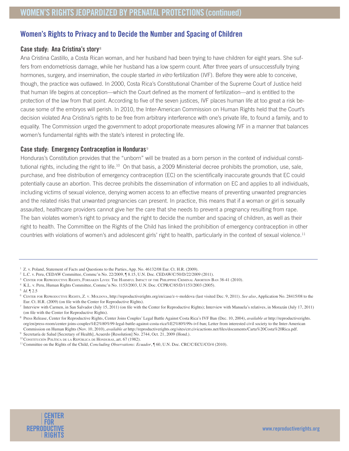## **Women's Rights to Privacy and to Decide the Number and Spacing of Children**

#### **Case study: Ana Cristina's story**<sup>8</sup>

Ana Cristina Castillo, a Costa Rican woman, and her husband had been trying to have children for eight years. She suffers from endometriosis damage, while her husband has a low sperm count. After three years of unsuccessfully trying hormones, surgery, and insemination, the couple started in vitro fertilization (IVF). Before they were able to conceive, though, the practice was outlawed. In 2000, Costa Rica's Constitutional Chamber of the Supreme Court of Justice held that human life begins at conception—which the Court defined as the moment of fertilization—and is entitled to the protection of the law from that point. According to five of the seven justices, IVF places human life at too great a risk because some of the embryos will perish. In 2010, the Inter-American Commission on Human Rights held that the Court's decision violated Ana Cristina's rights to be free from arbitrary interference with one's private life, to found a family, and to equality. The Commission urged the government to adopt proportionate measures allowing IVF in a manner that balances women's fundamental rights with the state's interest in protecting life.

#### **Case study: Emergency Contraception in Honduras**<sup>9</sup>

Honduras's Constitution provides that the "unborn" will be treated as a born person in the context of individual constitutional rights, including the right to life.<sup>10</sup> On that basis, a 2009 Ministerial decree prohibits the promotion, use, sale, purchase, and free distribution of emergency contraception (EC) on the scientifically inaccurate grounds that EC could potentially cause an abortion. This decree prohibits the dissemination of information on EC and applies to all individuals, including victims of sexual violence, denying women access to an effective means of preventing unwanted pregnancies and the related risks that unwanted pregnancies can present. In practice, this means that if a woman or girl is sexually assaulted, healthcare providers cannot give her the care that she needs to prevent a pregnancy resulting from rape. The ban violates women's right to privacy and the right to decide the number and spacing of children, as well as their right to health. The Committee on the Rights of the Child has linked the prohibition of emergency contraception in other countries with violations of women's and adolescent girls' right to health, particularly in the context of sexual violence.<sup>11</sup>



 $1$  Z. v. Poland, Statement of Facts and Questions to the Parties, App. No. 46132/08 Eur. Ct. H.R. (2009).

<sup>&</sup>lt;sup>2</sup> L.C. v. Peru, CEDAW Committee, Commc'n No. 22/2009,  $\sqrt{8.15}$ , U.N. Doc. CEDAW/C/50/D/22/2009 (2011).

<sup>&</sup>lt;sup>3</sup> CENTER FOR REPRODUCTIVE RIGHTS, FORSAKEN LIVES: THE HARMFUL IMPACT OF THE PHILIPPINE CRIMINAL ABORTION BAN 38-41 (2010).

<sup>&</sup>lt;sup>4</sup> K.L. v. Peru, Human Rights Committee, Commc'n No. 1153/2003, U.N. Doc. CCPR/C/85/D/1153/2003 (2005).

 $5$  *Id.*  $\sqrt{2.5}$ 

<sup>&</sup>lt;sup>6</sup> CENTER FOR REPRODUCTIVE RIGHTS, Z. V. MOLDOVA, http://reproductiverights.org/en/case/z-v-moldova (last visited Dec. 9, 2011). See also, Application No. 28415/08 to the Eur. Ct. H.R. (2009) (on file with the Center for Reproductive Rights).

 $^7$  Interview with Carmen, in San Salvador (July 15, 2011) (on file with the Center for Reproductive Rights); Interview with Manuela's relatives, in Morazán (July 17, 2011) (on file with the Center for Reproductive Rights).

<sup>&</sup>lt;sup>8</sup> Press Release, Center for Reproductive Rights, Center Joins Couples' Legal Battle Against Costa Rica's IVF Ban (Dec. 10, 2004), available at http://reproductiverights. org/en/press-room/center-joins-couples%E2%80%99-legal-battle-against-costa-rica%E2%80%99s-ivf-ban; Letter from interested civil society to the Inter-American Commission on Human Rights (Nov. 10, 2010), *available at http://reproductiverights.org/sites/crr.civicactions.net/files/documents/Carta%20Costa%20Rica.pdf.* 

<sup>&</sup>lt;sup>9</sup> Secretaría de Salud [Secretary of Health], Acuerdo [Resolution] No. 2744, Oct. 21, 2009 (Hond.).

<sup>10</sup>CONSTITUCIÓN POLÍTICA DE LA REPÚBLICA DE HONDURAS, art. 67 (1982).

<sup>&</sup>lt;sup>11</sup> Committee on the Rights of the Child, Concluding Observations: Ecuador, ¶ 60, U.N. Doc. CRC/C/ECU/CO/4 (2010).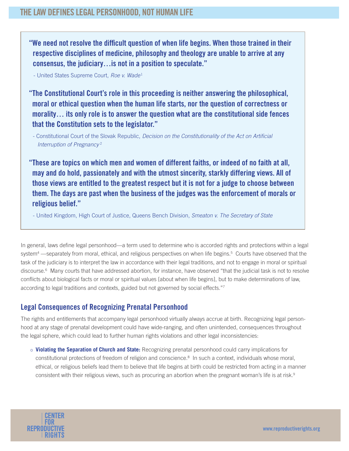**"We need not resolve the difficult question of when life begins. When those trained in their respective disciplines of medicine, philosophy and theology are unable to arrive at any consensus, the judiciary…is not in a position to speculate."**

- United States Supreme Court, Roe v. Wade<sup>1</sup>

**"The Constitutional Court's role in this proceeding is neither answering the philosophical, moral or ethical question when the human life starts, nor the question of correctness or morality… its only role is to answer the question what are the constitutional side fences that the Constitution sets to the legislator."**

- Constitutional Court of the Slovak Republic, Decision on the Constitutionality of the Act on Artificial Interruption of Pregnancy <sup>2</sup>

**"These are topics on which men and women of different faiths, or indeed of no faith at all, may and do hold, passionately and with the utmost sincerity, starkly differing views. All of those views are entitled to the greatest respect but it is not for a judge to choose between them. The days are past when the business of the judges was the enforcement of morals or religious belief."**

- United Kingdom, High Court of Justice, Queens Bench Division, Smeaton v. The Secretary of State

In general, laws define legal personhood—a term used to determine who is accorded rights and protections within a legal system<sup>4</sup> —separately from moral, ethical, and religious perspectives on when life begins.<sup>5</sup> Courts have observed that the task of the judiciary is to interpret the law in accordance with their legal traditions, and not to engage in moral or spiritual discourse.<sup>6</sup> Many courts that have addressed abortion, for instance, have observed "that the judicial task is not to resolve conflicts about biological facts or moral or spiritual values [about when life begins], but to make determinations of law, according to legal traditions and contexts, guided but not governed by social effects."7

## **Legal Consequences of Recognizing Prenatal Personhood**

The rights and entitlements that accompany legal personhood virtually always accrue at birth. Recognizing legal personhood at any stage of prenatal development could have wide-ranging, and often unintended, consequences throughout the legal sphere, which could lead to further human rights violations and other legal inconsistencies:

o **Violating the Separation of Church and State:** Recognizing prenatal personhood could carry implications for constitutional protections of freedom of religion and conscience.8 In such a context, individuals whose moral, ethical, or religious beliefs lead them to believe that life begins at birth could be restricted from acting in a manner consistent with their religious views, such as procuring an abortion when the pregnant woman's life is at risk.<sup>9</sup>